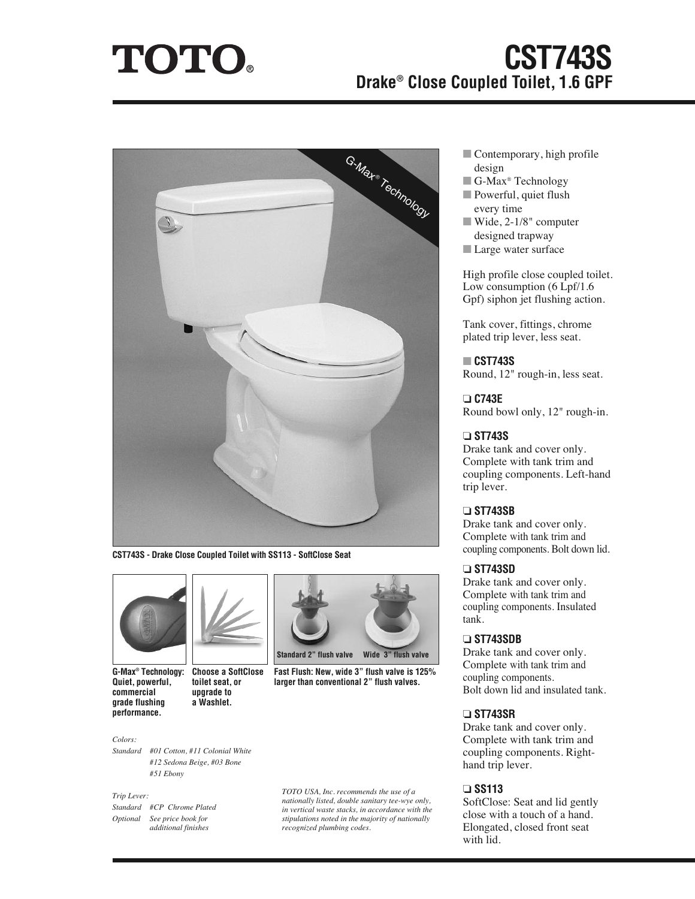# **TOTO.**

# **CST743S Drake® Close Coupled Toilet, 1.6 GPF**



**CST743S - Drake Close Coupled Toilet with SS113 - SoftClose Seat**



**G-Max® Technology: Quiet, powerful, commercial grade flushing performance.**

**Choose a SoftClose toilet seat, or upgrade to a Washlet.**

#### *Colors:*

*Standard #01 Cotton, #11 Colonial White #12 Sedona Beige, #03 Bone #51 Ebony*

#### *Trip Lever:*

*Standard #CP Chrome Plated Optional See price book for additional finishes*



**Fast Flush: New, wide 3" flush valve is 125% larger than conventional 2" flush valves.**

*TOTO USA, Inc. recommends the use of a nationally listed, double sanitary tee-wye only, in vertical waste stacks, in accordance with the stipulations noted in the majority of nationally recognized plumbing codes.*

- Contemporary, high profile design
- **■** G-Max® Technology
- Powerful, quiet flush every time
- **■** Wide, 2-1/8" computer designed trapway
- Large water surface

High profile close coupled toilet. Low consumption (6 Lpf/1.6 Gpf) siphon jet flushing action.

Tank cover, fittings, chrome plated trip lever, less seat.

#### **■ CST743S**

Round, 12" rough-in, less seat.

#### **❏ C743E**

Round bowl only, 12" rough-in.

#### **❏ ST743S**

Drake tank and cover only. Complete with tank trim and coupling components. Left-hand trip lever.

#### **❏ ST743SB**

Drake tank and cover only. Complete with tank trim and coupling components. Bolt down lid.

#### **❏ ST743SD**

Drake tank and cover only. Complete with tank trim and coupling components. Insulated tank.

#### **❏ ST743SDB**

Drake tank and cover only. Complete with tank trim and coupling components. Bolt down lid and insulated tank.

#### **❏ ST743SR**

Drake tank and cover only. Complete with tank trim and coupling components. Righthand trip lever.

### **❏ SS113**

SoftClose: Seat and lid gently close with a touch of a hand. Elongated, closed front seat with lid.